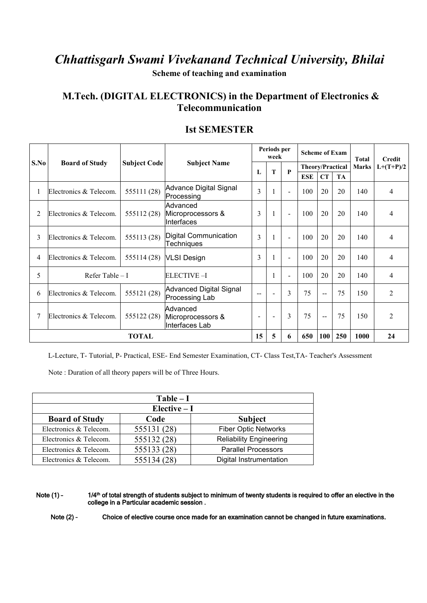# *Chhattisgarh Swami Vivekanand Technical University, Bhilai* **Scheme of teaching and examination**

### **M.Tech. (DIGITAL ELECTRONICS) in the Department of Electronics & Telecommunication**

|                |                        |                     |                                                 |                | Periods per<br>week |                | <b>Scheme of Exam</b> |                |                         | <b>Total</b> | <b>Credit</b>  |
|----------------|------------------------|---------------------|-------------------------------------------------|----------------|---------------------|----------------|-----------------------|----------------|-------------------------|--------------|----------------|
| S.No           | <b>Board of Study</b>  | <b>Subject Code</b> | <b>Subject Name</b>                             | L              | T                   | $\mathbf{P}$   |                       |                | <b>Theory/Practical</b> | Marks        | $L+(T+P)/2$    |
|                |                        |                     |                                                 |                |                     |                | <b>ESE</b>            | CT             | <b>TA</b>               |              |                |
|                | Electronics & Telecom. | 555111 (28)         | Advance Digital Signal<br>Processing            | $\overline{3}$ |                     | $\sim$         | 100                   | 20             | 20                      | 140          | 4              |
| $\overline{2}$ | Electronics & Telecom. | 555112 (28)         | Advanced<br>Microprocessors &<br>Interfaces     | $\overline{3}$ |                     | $\sim$         | 100                   | 20             | 20                      | 140          | 4              |
| 3              | Electronics & Telecom. | 555113 (28)         | Digital Communication<br><b>Techniques</b>      | 3              |                     | $\sim$         | 100                   | 20             | 20                      | 140          | 4              |
| 4              | Electronics & Telecom. | 555114 (28)         | VLSI Design                                     | $\overline{3}$ |                     | $\blacksquare$ | 100                   | 20             | 20                      | 140          | 4              |
| 5              | Refer Table $-1$       |                     | <b>ELECTIVE-I</b>                               |                |                     | $\sim$         | 100                   | 20             | 20                      | 140          | 4              |
| 6              | Electronics & Telecom. | 555121 (28)         | Advanced Digital Signal<br>Processing Lab       |                |                     | $\overline{3}$ | 75                    | $\overline{a}$ | 75                      | 150          | 2              |
|                | Electronics & Telecom. | 555122 (28)         | Advanced<br>Microprocessors &<br>Interfaces Lab | $\blacksquare$ | $\blacksquare$      | $\overline{3}$ | 75                    | $\sim$ $\sim$  | 75                      | 150          | $\overline{2}$ |
|                |                        | <b>TOTAL</b>        |                                                 | 15             | 5                   | 6              | 650                   | <b>100</b>     | <b>250</b>              | 1000         | 24             |

#### **Ist SEMESTER**

L-Lecture, T- Tutorial, P- Practical, ESE- End Semester Examination, CT- Class Test,TA- Teacher's Assessment

Note : Duration of all theory papers will be of Three Hours.

|                        | $Table - I$   |                                |
|------------------------|---------------|--------------------------------|
|                        | Elective $-I$ |                                |
| <b>Board of Study</b>  | Code          | <b>Subject</b>                 |
| Electronics & Telecom. | 555131 (28)   | <b>Fiber Optic Networks</b>    |
| Electronics & Telecom. | 555132 (28)   | <b>Reliability Engineering</b> |
| Electronics & Telecom. | 555133 (28)   | <b>Parallel Processors</b>     |
| Electronics & Telecom. | 555134 (28)   | Digital Instrumentation        |

Note (1) - 1/4<sup>th</sup> of total strength of students subject to minimum of twenty students is required to offer an elective in the<br>college in a Particular academic session.

Note (2) - Choice of elective course once made for an examination cannot be changed in future examinations.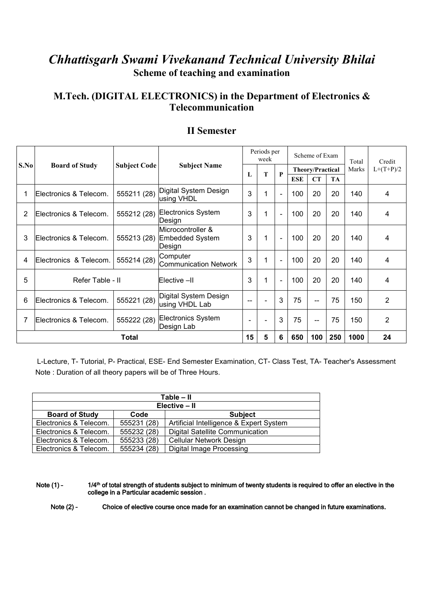# *Chhattisgarh Swami Vivekanand Technical University Bhilai* **Scheme of teaching and examination**

### **M.Tech. (DIGITAL ELECTRONICS) in the Department of Electronics & Telecommunication**

|      |                        |                     |                                                |    | Periods per<br>week      |                          |            | Scheme of Exam          |           | Total | Credit         |
|------|------------------------|---------------------|------------------------------------------------|----|--------------------------|--------------------------|------------|-------------------------|-----------|-------|----------------|
| S.No | <b>Board of Study</b>  | <b>Subject Code</b> | <b>Subject Name</b>                            | L  | T                        | $\mathbf{P}$             |            | <b>Theory/Practical</b> |           | Marks | $L+(T+P)/2$    |
|      |                        |                     |                                                |    |                          |                          | <b>ESE</b> | <b>CT</b>               | <b>TA</b> |       |                |
|      | Electronics & Telecom. | 555211 (28)         | Digital System Design<br>using VHDL            | 3  |                          | $\blacksquare$           | 100        | 20                      | 20        | 140   | 4              |
| 2    | Electronics & Telecom. | 555212 (28)         | Electronics System<br>Design                   | 3  |                          | $\overline{\phantom{a}}$ | 100        | 20                      | 20        | 140   | 4              |
| 3    | Electronics & Telecom. | 555213 (28)         | Microcontroller &<br>Embedded System<br>Design | 3  | 1                        | $\blacksquare$           | 100        | 20                      | 20        | 140   | 4              |
| 4    | Electronics & Telecom. | 555214 (28)         | Computer<br>Communication Network              | 3  | 1                        | $\blacksquare$           | 100        | 20                      | 20        | 140   | 4              |
| 5    | Refer Table - II       |                     | Elective -II                                   | 3  |                          | $\blacksquare$           | 100        | 20                      | 20        | 140   | 4              |
| 6    | Electronics & Telecom. | 555221 (28)         | Digital System Design<br>using VHDL Lab        |    | $\overline{\phantom{a}}$ | 3                        | 75         | --                      | 75        | 150   | $\overline{2}$ |
|      | Electronics & Telecom. | 555222 (28)         | Electronics System<br>Design Lab               |    | $\overline{\phantom{a}}$ | 3                        | 75         | --                      | 75        | 150   | $\overline{2}$ |
|      |                        | <b>Total</b>        |                                                | 15 | 5                        | 6                        | 650        | 100                     | 250       | 1000  | 24             |

#### **II Semester**

L-Lecture, T- Tutorial, P- Practical, ESE- End Semester Examination, CT- Class Test, TA- Teacher's Assessment Note : Duration of all theory papers will be of Three Hours.

| Table – II             |             |                                         |  |  |  |  |  |  |
|------------------------|-------------|-----------------------------------------|--|--|--|--|--|--|
| Elective - II          |             |                                         |  |  |  |  |  |  |
| <b>Board of Study</b>  | Code        | <b>Subject</b>                          |  |  |  |  |  |  |
| Electronics & Telecom. | 555231 (28) | Artificial Intelligence & Expert System |  |  |  |  |  |  |
| Electronics & Telecom. | 555232 (28) | Digital Satellite Communication         |  |  |  |  |  |  |
| Electronics & Telecom. | 555233 (28) | <b>Cellular Network Design</b>          |  |  |  |  |  |  |
| Electronics & Telecom. | 555234 (28) | <b>Digital Image Processing</b>         |  |  |  |  |  |  |

Note (1) - 1/4<sup>th</sup> of total strength of students subject to minimum of twenty students is required to offer an elective in the<br>college in a Particular academic session.

Note (2) - Choice of elective course once made for an examination cannot be changed in future examinations.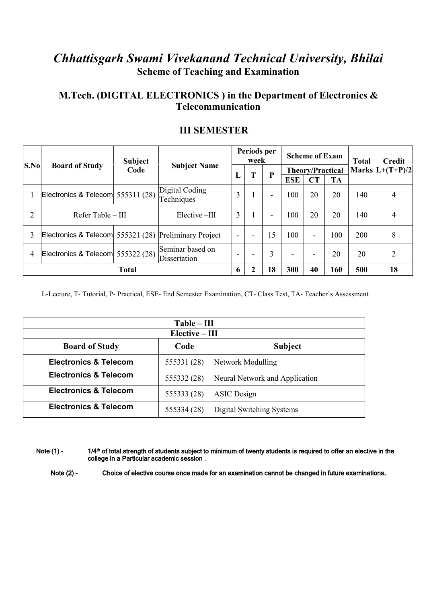# *Chhattisgarh Swami Vivekanand Technical University, Bhilai* **Scheme of Teaching and Examination**

#### **M.Tech. (DIGITAL ELECTRONICS ) in the Department of Electronics & Telecommunication**

|      |                                                       | <b>Subject</b> |                                  |                          | Periods per<br>week      |                          |                          | <b>Scheme of Exam</b>    |           | Total | <b>Credit</b>       |
|------|-------------------------------------------------------|----------------|----------------------------------|--------------------------|--------------------------|--------------------------|--------------------------|--------------------------|-----------|-------|---------------------|
| S.No | <b>Board of Study</b>                                 | Code           | <b>Subject Name</b>              |                          | Т                        | ${\bf P}$                |                          | <b>Theory/Practical</b>  |           |       | Marks $ L+(T+P)/2 $ |
|      |                                                       |                |                                  | ┻                        |                          |                          | <b>ESE</b>               | <b>CT</b>                | <b>TA</b> |       |                     |
|      | Electronics & Telecom $555311(28)$                    |                | Digital Coding<br>Techniques     | 3                        |                          | $\blacksquare$           | 100                      | 20                       | 20        | 140   | $\overline{4}$      |
| ↑    | $Refer$ Table $- III$                                 |                | Elective-III                     | 3                        |                          | $\overline{\phantom{0}}$ | 100                      | 20                       | 20        | 140   | 4                   |
|      | Electronics & Telecom 555321 (28) Preliminary Project |                |                                  |                          | $\overline{\phantom{0}}$ | 15                       | 100                      | $\overline{\phantom{0}}$ | 100       | 200   | 8                   |
| 4    | Electronics & Telecom $555322(28)$                    |                | Seminar based on<br>Dissertation | $\overline{\phantom{0}}$ |                          | 3                        | $\overline{\phantom{0}}$ |                          | 20        | 20    | 2                   |
|      |                                                       | Total          |                                  | 6                        | $\mathbf{2}$             | 18                       | 300                      | 40                       | 160       | 500   | 18                  |

#### **III SEMESTER**

L-Lecture, T- Tutorial, P- Practical, ESE- End Semester Examination, CT- Class Test, TA- Teacher's Assessment

|                                  | $Table - III$    |                                |  |  |  |  |  |
|----------------------------------|------------------|--------------------------------|--|--|--|--|--|
|                                  | $Elective - III$ |                                |  |  |  |  |  |
| <b>Board of Study</b>            | Code             | <b>Subject</b>                 |  |  |  |  |  |
| <b>Electronics &amp; Telecom</b> | 555331 (28)      | Network Modulling              |  |  |  |  |  |
| <b>Electronics &amp; Telecom</b> | 555332 (28)      | Neural Network and Application |  |  |  |  |  |
| <b>Electronics &amp; Telecom</b> | 555333 (28)      | <b>ASIC</b> Design             |  |  |  |  |  |
| <b>Electronics &amp; Telecom</b> | 555334 (28)      | Digital Switching Systems      |  |  |  |  |  |

Note (1) - 1/4<sup>th</sup> of total strength of students subject to minimum of twenty students is required to offer an elective in the<br>college in a Particular academic session.

Note (2) - Choice of elective course once made for an examination cannot be changed in future examinations.